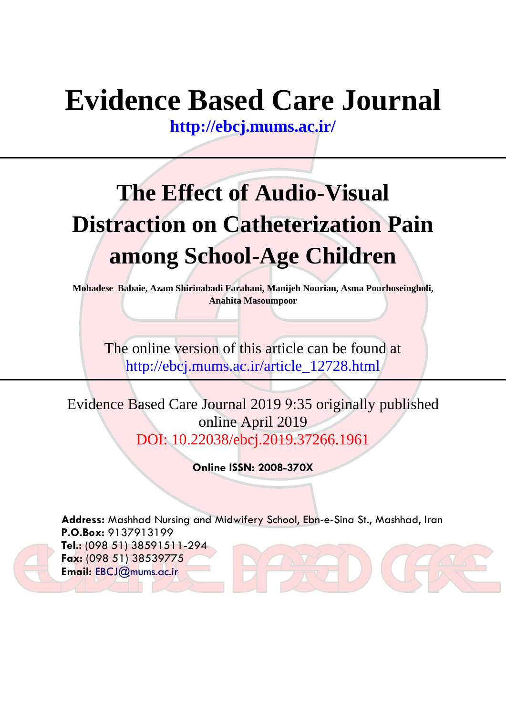# **Evidence Based Care Journal**

**<http://ebcj.mums.ac.ir/>**

# **The Effect of Audio-Visual Distraction on Catheterization Pain among School-Age Children**

**Mohadese Babaie, Azam Shirinabadi Farahani, Manijeh Nourian, Asma Pourhoseingholi, Anahita Masoumpoor**

The online version of this article can be found at http://ebcj.mums.ac.ir/article\_12728.html

Evidence Based Care Journal 2019 9:35 originally published online April 2019 DOI: 10.22038/ebcj.2019.37266.1961

**Online ISSN: 2008-370X**

**Address:** Mashhad Nursing and Midwifery School, Ebn-e-Sina St., Mashhad, Iran **P.O.Box:** 9137913199 **Tel.:** (098 51) 38591511-294 **Fax:** (098 51) 38539775 **Email:** [EBCJ@mums.ac.ir](mailto:EBCJ@mums.ac.ir)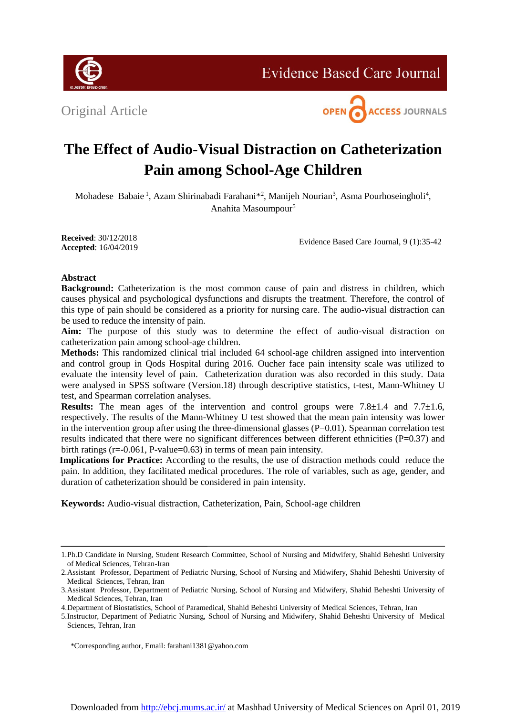**Evidence Based Care Journal** 





# **The Effect of Audio-Visual Distraction on Catheterization Pain among School-Age Children**

Mohadese Babaie<sup>1</sup>, Azam Shirinabadi Farahani<sup>\*2</sup>, Manijeh Nourian<sup>3</sup>, Asma Pourhoseingholi<sup>4</sup>, <sup>5</sup> Anahita Masoumpour

**Received**: 30/12/2018 **Accepted**: 16/04/2019

Evidence Based Care Journal, 9 (1):35-42

# **Abstract**

**Background:** Catheterization is the most common cause of pain and distress in children, which causes physical and psychological dysfunctions and disrupts the treatment. Therefore, the control of this type of pain should be considered as a priority for nursing care. The audio-visual distraction can be used to reduce the intensity of pain.

**Aim:** The purpose of this study was to determine the effect of audio-visual distraction on catheterization pain among school-age children.

**Methods:** This randomized clinical trial included 64 school-age children assigned into intervention and control group in Qods Hospital during 2016. Oucher face pain intensity scale was utilized to evaluate the intensity level of pain. Catheterization duration was also recorded in this study. Data were analysed in SPSS software (Version.18) through descriptive statistics, t-test, Mann-Whitney U test, and Spearman correlation analyses.

**Results:** The mean ages of the intervention and control groups were  $7.8 \pm 1.4$  and  $7.7 \pm 1.6$ , respectively. The results of the Mann-Whitney U test showed that the mean pain intensity was lower in the intervention group after using the three-dimensional glasses  $(P=0.01)$ . Spearman correlation test results indicated that there were no significant differences between different ethnicities (P=0.37) and birth ratings (r=-0.061, P-value=0.63) in terms of mean pain intensity.

**Implications for Practice:** According to the results, the use of distraction methods could reduce the pain. In addition, they facilitated medical procedures. The role of variables, such as age, gender, and duration of catheterization should be considered in pain intensity.

**Keywords:** Audio-visual distraction, Catheterization, Pain, School-age children

<sup>1.</sup>Ph.D Candidate in Nursing, Student Research Committee, School of Nursing and Midwifery, Shahid Beheshti University of Medical Sciences, Tehran-Iran

<sup>2.</sup>Assistant Professor, Department of Pediatric Nursing, School of Nursing and Midwifery, Shahid Beheshti University of Medical Sciences, Tehran, Iran

<sup>3.</sup>Assistant Professor, Department of Pediatric Nursing, School of Nursing and Midwifery, Shahid Beheshti University of Medical Sciences, Tehran, Iran

<sup>4.</sup>Department of Biostatistics, School of Paramedical, Shahid Beheshti University of Medical Sciences, Tehran, Iran

<sup>5.</sup>Instructor, Department of Pediatric Nursing, School of Nursing and Midwifery, Shahid Beheshti University of Medical Sciences, Tehran, Iran

 <sup>\*</sup>Corresponding author, Email: [farahani1381@yahoo.com](mailto:farahani1381@yahoo.com)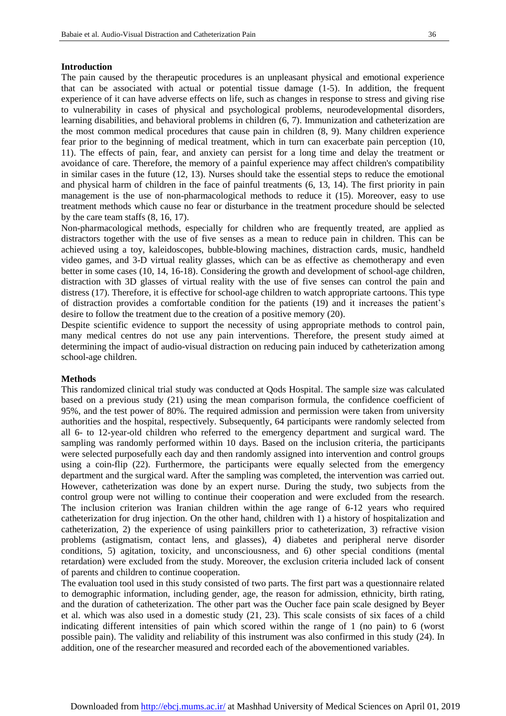### **Introduction**

The pain caused by the therapeutic procedures is an unpleasant physical and emotional experience that can be associated with actual or potential tissue damage (1-5). In addition, the frequent experience of it can have adverse effects on life, such as changes in response to stress and giving rise to vulnerability in cases of physical and psychological problems, neurodevelopmental disorders, learning disabilities, and behavioral problems in children [\(6,](#page-6-0) [7\)](#page-6-1). Immunization and catheterization are the most common medical procedures that cause pain in children [\(8,](#page-6-2) [9\)](#page-6-3). Many children experience fear prior to the beginning of medical treatment, which in turn can exacerbate pain perception [\(10,](#page-7-0) [11\)](#page-7-1). The effects of pain, fear, and anxiety can persist for a long time and delay the treatment or avoidance of care. Therefore, the memory of a painful experience may affect children's compatibility in similar cases in the future [\(12,](#page-7-2) [13\)](#page-7-3). Nurses should take the essential steps to reduce the emotional and physical harm of children in the face of painful treatments [\(6,](#page-6-0) [13,](#page-7-3) [14\)](#page-7-4). The first priority in pain management is the use of non-pharmacological methods to reduce it [\(15\)](#page-7-5). Moreover, easy to use treatment methods which cause no fear or disturbance in the treatment procedure should be selected by the care team staffs [\(8,](#page-6-2) [16,](#page-7-6) [17\)](#page-7-7).

Non-pharmacological methods, especially for children who are frequently treated, are applied as distractors together with the use of five senses as a mean to reduce pain in children. This can be achieved using a toy, kaleidoscopes, bubble-blowing machines, distraction cards, music, handheld video games, and 3-D virtual reality glasses, which can be as effective as chemotherapy and even better in some cases [\(10,](#page-7-0) [14,](#page-7-4) [16-18\)](#page-7-6). Considering the growth and development of school-age children, distraction with 3D glasses of virtual reality with the use of five senses can control the pain and distress [\(17\)](#page-7-7). Therefore, it is effective for school-age children to watch appropriate cartoons. This type of distraction provides a comfortable condition for the patients [\(19\)](#page-7-8) and it increases the patient's desire to follow the treatment due to the creation of a positive memory [\(20\)](#page-7-9).

Despite scientific evidence to support the necessity of using appropriate methods to control pain, many medical centres do not use any pain interventions. Therefore, the present study aimed at determining the impact of audio-visual distraction on reducing pain induced by catheterization among school-age children.

#### **Methods**

This randomized clinical trial study was conducted at Qods Hospital. The sample size was calculated based on a previous study [\(21\)](#page-7-10) using the mean comparison formula, the confidence coefficient of 95%, and the test power of 80%. The required admission and permission were taken from university authorities and the hospital, respectively. Subsequently, 64 participants were randomly selected from all 6- to 12-year-old children who referred to the emergency department and surgical ward. The sampling was randomly performed within 10 days. Based on the inclusion criteria, the participants were selected purposefully each day and then randomly assigned into intervention and control groups using a coin-flip [\(22\)](#page-7-11). Furthermore, the participants were equally selected from the emergency department and the surgical ward. After the sampling was completed, the intervention was carried out. However, catheterization was done by an expert nurse. During the study, two subjects from the control group were not willing to continue their cooperation and were excluded from the research. The inclusion criterion was Iranian children within the age range of 6-12 years who required catheterization for drug injection. On the other hand, children with 1) a history of hospitalization and catheterization, 2) the experience of using painkillers prior to catheterization, 3) refractive vision problems (astigmatism, contact lens, and glasses), 4) diabetes and peripheral nerve disorder conditions, 5) agitation, toxicity, and unconsciousness, and 6) other special conditions (mental retardation) were excluded from the study. Moreover, the exclusion criteria included lack of consent of parents and children to continue cooperation.

The evaluation tool used in this study consisted of two parts. The first part was a questionnaire related to demographic information, including gender, age, the reason for admission, ethnicity, birth rating, and the duration of catheterization. The other part was the Oucher face pain scale designed by Beyer et al. which was also used in a domestic study [\(21,](#page-7-10) [23\)](#page-7-12). This scale consists of six faces of a child indicating different intensities of pain which scored within the range of 1 (no pain) to 6 (worst possible pain). The validity and reliability of this instrument was also confirmed in this study [\(24\)](#page-7-13). In addition, one of the researcher measured and recorded each of the abovementioned variables.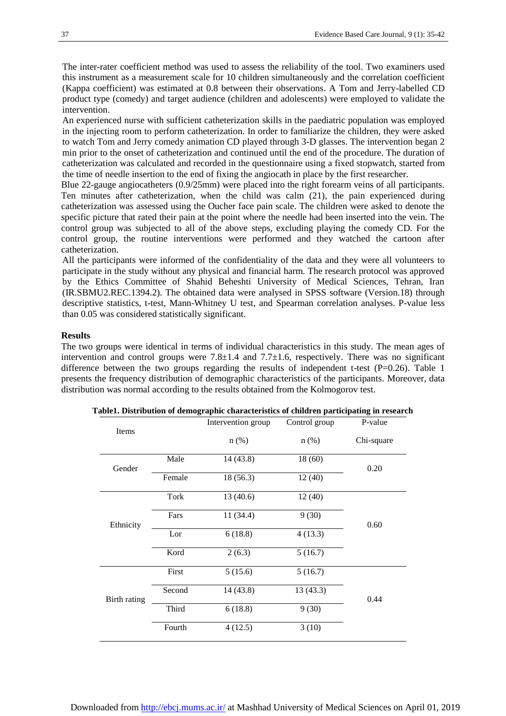The inter-rater coefficient method was used to assess the reliability of the tool. Two examiners used this instrument as a measurement scale for 10 children simultaneously and the correlation coefficient (Kappa coefficient) was estimated at 0.8 between their observations. A Tom and Jerry-labelled CD product type (comedy) and target audience (children and adolescents) were employed to validate the intervention.

An experienced nurse with sufficient catheterization skills in the paediatric population was employed in the injecting room to perform catheterization. In order to familiarize the children, they were asked to watch Tom and Jerry comedy animation CD played through 3-D glasses. The intervention began 2 min prior to the onset of catheterization and continued until the end of the procedure. The duration of catheterization was calculated and recorded in the questionnaire using a fixed stopwatch, started from the time of needle insertion to the end of fixing the angiocath in place by the first researcher.

Blue 22-gauge angiocatheters (0.9/25mm) were placed into the right forearm veins of all participants. Ten minutes after catheterization, when the child was calm [\(21\)](#page-7-10), the pain experienced during catheterization was assessed using the Oucher face pain scale. The children were asked to denote the specific picture that rated their pain at the point where the needle had been inserted into the vein. The control group was subjected to all of the above steps, excluding playing the comedy CD. For the control group, the routine interventions were performed and they watched the cartoon after catheterization.

All the participants were informed of the confidentiality of the data and they were all volunteers to participate in the study without any physical and financial harm. The research protocol was approved by the Ethics Committee of Shahid Beheshti University of Medical Sciences, Tehran, Iran (IR.SBMU2.REC.1394.2). The obtained data were analysed in SPSS software (Version.18) through descriptive statistics, t-test, Mann-Whitney U test, and Spearman correlation analyses. P-value less than 0.05 was considered statistically significant.

#### **Results**

The two groups were identical in terms of individual characteristics in this study. The mean ages of intervention and control groups were  $7.8 \pm 1.4$  and  $7.7 \pm 1.6$ , respectively. There was no significant difference between the two groups regarding the results of independent t-test  $(P=0.26)$ . Table 1 presents the frequency distribution of demographic characteristics of the participants. Moreover, data distribution was normal according to the results obtained from the Kolmogorov test.

|              |        | Intervention group  | Control group | P-value    |  |
|--------------|--------|---------------------|---------------|------------|--|
| Items        |        | $n$ (%)             | $n$ (%)       | Chi-square |  |
| Gender       | Male   | 14 (43.8)           | 18(60)        | 0.20       |  |
|              | Female | 18 (56.3)<br>12(40) |               |            |  |
| Ethnicity    | Tork   | 13(40.6)            | 12(40)        |            |  |
|              | Fars   | 11 (34.4)           | 9(30)         | 0.60       |  |
|              | Lor    | 6(18.8)             | 4(13.3)       |            |  |
|              | Kord   | 2(6.3)              | 5(16.7)       |            |  |
| Birth rating | First  | 5(15.6)             | 5(16.7)       |            |  |
|              | Second | 14 (43.8)           | 13(43.3)      | 0.44       |  |
|              | Third  | 6(18.8)             | 9(30)         |            |  |
|              | Fourth | 4(12.5)             | 3(10)         |            |  |

**Table1. Distribution of demographic characteristics of children participating in research**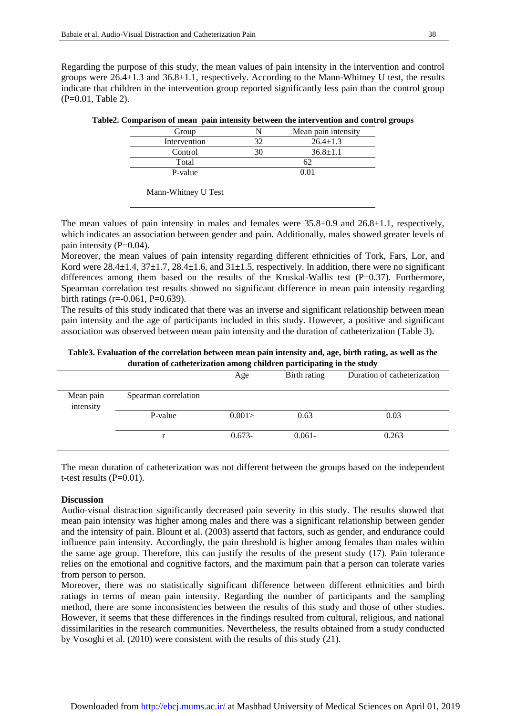Regarding the purpose of this study, the mean values of pain intensity in the intervention and control groups were 26.4±1.3 and 36.8±1.1, respectively. According to the Mann-Whitney U test, the results indicate that children in the intervention group reported significantly less pain than the control group (P=0.01, Table 2).

| Mean pain intensity |
|---------------------|
| $26.4 \pm 1.3$      |
| $36.8 \pm 1.1$      |
|                     |
| 0 U.                |
|                     |

| Table2. Comparison of mean pain intensity between the intervention and control groups |  |  |  |  |  |  |
|---------------------------------------------------------------------------------------|--|--|--|--|--|--|
|---------------------------------------------------------------------------------------|--|--|--|--|--|--|

The mean values of pain intensity in males and females were  $35.8\pm0.9$  and  $26.8\pm1.1$ , respectively, which indicates an association between gender and pain. Additionally, males showed greater levels of pain intensity (P=0.04).

Moreover, the mean values of pain intensity regarding different ethnicities of Tork, Fars, Lor, and Kord were  $28.4\pm1.4$ ,  $37\pm1.7$ ,  $28.4\pm1.6$ , and  $31\pm1.5$ , respectively. In addition, there were no significant differences among them based on the results of the Kruskal-Wallis test (P=0.37). Furthermore, Spearman correlation test results showed no significant difference in mean pain intensity regarding birth ratings (r=-0.061, P=0.639).

The results of this study indicated that there was an inverse and significant relationship between mean pain intensity and the age of participants included in this study. However, a positive and significant association was observed between mean pain intensity and the duration of catheterization (Table 3).

**Table3. Evaluation of the correlation between mean pain intensity and, age, birth rating, as well as the duration of catheterization among children participating in the study**

|                        |                      | Age      | Birth rating | Duration of catheterization |
|------------------------|----------------------|----------|--------------|-----------------------------|
| Mean pain<br>intensity | Spearman correlation |          |              |                             |
|                        | P-value              | 0.001    | 0.63         | 0.03                        |
|                        |                      | $0.673-$ | $0.061 -$    | 0.263                       |

The mean duration of catheterization was not different between the groups based on the independent t-test results  $(P=0.01)$ .

## **Discussion**

Audio-visual distraction significantly decreased pain severity in this study. The results showed that mean pain intensity was higher among males and there was a significant relationship between gender and the intensity of pain. Blount et al. (2003) assertd that factors, such as gender, and endurance could influence pain intensity. Accordingly, the pain threshold is higher among females than males within the same age group. Therefore, this can justify the results of the present study [\(17\)](#page-7-7). Pain tolerance relies on the emotional and cognitive factors, and the maximum pain that a person can tolerate varies from person to person.

Moreover, there was no statistically significant difference between different ethnicities and birth ratings in terms of mean pain intensity. Regarding the number of participants and the sampling method, there are some inconsistencies between the results of this study and those of other studies. However, it seems that these differences in the findings resulted from cultural, religious, and national dissimilarities in the research communities. Nevertheless, the results obtained from a study conducted by Vosoghi et al. (2010) were consistent with the results of this study [\(21\)](#page-7-10).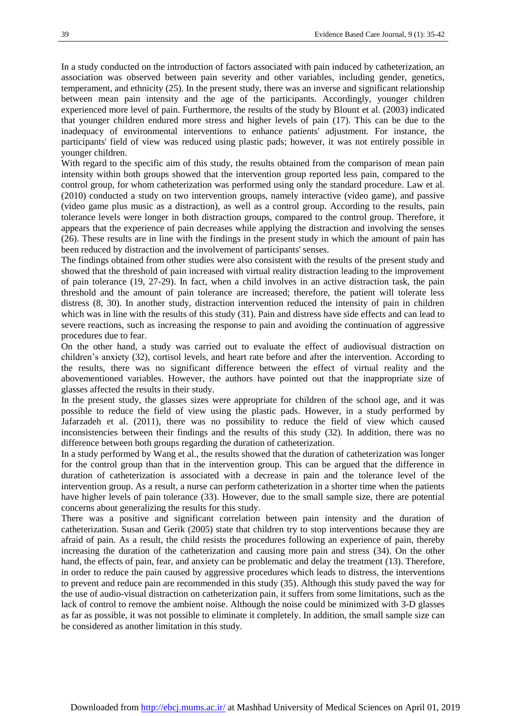In a study conducted on the introduction of factors associated with pain induced by catheterization, an association was observed between pain severity and other variables, including gender, genetics, temperament, and ethnicity [\(25\)](#page-7-14). In the present study, there was an inverse and significant relationship between mean pain intensity and the age of the participants. Accordingly, younger children experienced more level of pain. Furthermore, the results of the study by Blount et al. (2003) indicated that younger children endured more stress and higher levels of pain [\(17\)](#page-7-7). This can be due to the inadequacy of environmental interventions to enhance patients' adjustment. For instance, the participants' field of view was reduced using plastic pads; however, it was not entirely possible in younger children.

With regard to the specific aim of this study, the results obtained from the comparison of mean pain intensity within both groups showed that the intervention group reported less pain, compared to the control group, for whom catheterization was performed using only the standard procedure. Law et al. (2010) conducted a study on two intervention groups, namely interactive (video game), and passive (video game plus music as a distraction), as well as a control group. According to the results, pain tolerance levels were longer in both distraction groups, compared to the control group. Therefore, it appears that the experience of pain decreases while applying the distraction and involving the senses [\(26\)](#page-7-15). These results are in line with the findings in the present study in which the amount of pain has been reduced by distraction and the involvement of participants' senses.

The findings obtained from other studies were also consistent with the results of the present study and showed that the threshold of pain increased with virtual reality distraction leading to the improvement of pain tolerance [\(19,](#page-7-8) [27-29\)](#page-7-16). In fact, when a child involves in an active distraction task, the pain threshold and the amount of pain tolerance are increased; therefore, the patient will tolerate less distress [\(8,](#page-6-2) [30\)](#page-7-17). In another study, distraction intervention reduced the intensity of pain in children which was in line with the results of this study [\(31\)](#page-7-18). Pain and distress have side effects and can lead to severe reactions, such as increasing the response to pain and avoiding the continuation of aggressive procedures due to fear.

On the other hand, a study was carried out to evaluate the effect of audiovisual distraction on children's anxiety [\(32\)](#page-7-19), cortisol levels, and heart rate before and after the intervention. According to the results, there was no significant difference between the effect of virtual reality and the abovementioned variables. However, the authors have pointed out that the inappropriate size of glasses affected the results in their study.

In the present study, the glasses sizes were appropriate for children of the school age, and it was possible to reduce the field of view using the plastic pads. However, in a study performed by Jafarzadeh et al. (2011), there was no possibility to reduce the field of view which caused inconsistencies between their findings and the results of this study [\(32\)](#page-7-19). In addition, there was no difference between both groups regarding the duration of catheterization.

In a study performed by Wang et al., the results showed that the duration of catheterization was longer for the control group than that in the intervention group. This can be argued that the difference in duration of catheterization is associated with a decrease in pain and the tolerance level of the intervention group. As a result, a nurse can perform catheterization in a shorter time when the patients have higher levels of pain tolerance [\(33\)](#page-7-20). However, due to the small sample size, there are potential concerns about generalizing the results for this study.

There was a positive and significant correlation between pain intensity and the duration of catheterization. Susan and Gerik (2005) state that children try to stop interventions because they are afraid of pain. As a result, the child resists the procedures following an experience of pain, thereby increasing the duration of the catheterization and causing more pain and stress [\(34\)](#page-8-0). On the other hand, the effects of pain, fear, and anxiety can be problematic and delay the treatment [\(13\)](#page-7-3). Therefore, in order to reduce the pain caused by aggressive procedures which leads to distress, the interventions to prevent and reduce pain are recommended in this study [\(35\)](#page-8-1). Although this study paved the way for the use of audio-visual distraction on catheterization pain, it suffers from some limitations, such as the lack of control to remove the ambient noise. Although the noise could be minimized with 3-D glasses as far as possible, it was not possible to eliminate it completely. In addition, the small sample size can be considered as another limitation in this study.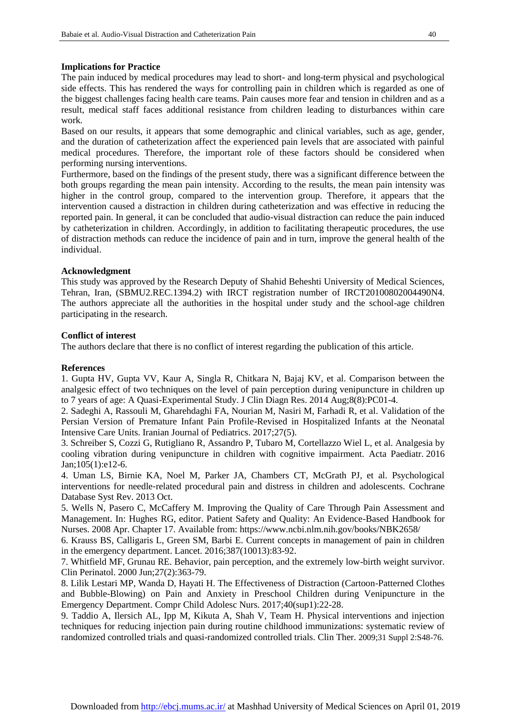### **Implications for Practice**

The pain induced by medical procedures may lead to short- and long-term physical and psychological side effects. This has rendered the ways for controlling pain in children which is regarded as one of the biggest challenges facing health care teams. Pain causes more fear and tension in children and as a result, medical staff faces additional resistance from children leading to disturbances within care work.

Based on our results, it appears that some demographic and clinical variables, such as age, gender, and the duration of catheterization affect the experienced pain levels that are associated with painful medical procedures. Therefore, the important role of these factors should be considered when performing nursing interventions.

Furthermore, based on the findings of the present study, there was a significant difference between the both groups regarding the mean pain intensity. According to the results, the mean pain intensity was higher in the control group, compared to the intervention group. Therefore, it appears that the intervention caused a distraction in children during catheterization and was effective in reducing the reported pain. In general, it can be concluded that audio-visual distraction can reduce the pain induced by catheterization in children. Accordingly, in addition to facilitating therapeutic procedures, the use of distraction methods can reduce the incidence of pain and in turn, improve the general health of the individual.

#### **Acknowledgment**

This study was approved by the Research Deputy of Shahid Beheshti University of Medical Sciences, Tehran, Iran, (SBMU2.REC.1394.2) with IRCT registration number of IRCT20100802004490N4. The authors appreciate all the authorities in the hospital under study and the school-age children participating in the research.

#### **Conflict of interest**

The authors declare that there is no conflict of interest regarding the publication of this article.

## **References**

1. Gupta HV, Gupta VV, Kaur A, Singla R, Chitkara N, Bajaj KV, et al. Comparison between the analgesic effect of two techniques on the level of pain perception during venipuncture in children up to 7 years of age: A Quasi-Experimental Study[. J Clin Diagn Res.](https://www.ncbi.nlm.nih.gov/pubmed/25302240) 2014 Aug;8(8):PC01-4.

2. Sadeghi A, Rassouli M, Gharehdaghi FA, Nourian M, Nasiri M, Farhadi R, et al. Validation of the Persian Version of Premature Infant Pain Profile-Revised in Hospitalized Infants at the Neonatal Intensive Care Units. Iranian Journal of Pediatrics. 2017;27(5).

3. Schreiber S, Cozzi G, Rutigliano R, Assandro P, Tubaro M, Cortellazzo Wiel L, et al. Analgesia by cooling vibration during venipuncture in children with cognitive impairment. [Acta Paediatr.](https://www.ncbi.nlm.nih.gov/pubmed/26401633) 2016 Jan;105(1):e12-6.

4. Uman LS, Birnie KA, Noel M, Parker JA, Chambers CT, McGrath PJ, et al. Psychological interventions for needle‐related procedural pain and distress in children and adolescents. [Cochrane](https://www.ncbi.nlm.nih.gov/pubmed/24108531)  [Database Syst Rev.](https://www.ncbi.nlm.nih.gov/pubmed/24108531) 2013 Oct.

5. Wells N, Pasero C, McCaffery M. Improving the Quality of Care Through Pain Assessment and Management. In: Hughes RG, editor. Patient Safety and Quality: An Evidence-Based Handbook for Nurses. 2008 Apr. Chapter 17. Available from: https://www.ncbi.nlm.nih.gov/books/NBK2658/

<span id="page-6-0"></span>6. Krauss BS, Calligaris L, Green SM, Barbi E. Current concepts in management of pain in children in the emergency department. Lancet. 2016;387(10013):83-92.

<span id="page-6-1"></span>7. Whitfield MF, Grunau RE. Behavior, pain perception, and the extremely low-birth weight survivor. [Clin Perinatol.](https://www.ncbi.nlm.nih.gov/pubmed/10863655) 2000 Jun;27(2):363-79.

<span id="page-6-2"></span>8. Lilik Lestari MP, Wanda D, Hayati H. The Effectiveness of Distraction (Cartoon-Patterned Clothes and Bubble-Blowing) on Pain and Anxiety in Preschool Children during Venipuncture in the Emergency Department. [Compr Child Adolesc Nurs.](https://www.ncbi.nlm.nih.gov/pubmed/29166202) 2017;40(sup1):22-28.

<span id="page-6-3"></span>9. Taddio A, Ilersich AL, Ipp M, Kikuta A, Shah V, Team H. Physical interventions and injection techniques for reducing injection pain during routine childhood immunizations: systematic review of randomized controlled trials and quasi-randomized controlled trials. [Clin Ther.](https://www.ncbi.nlm.nih.gov/pubmed/19781436) 2009;31 Suppl 2:S48-76.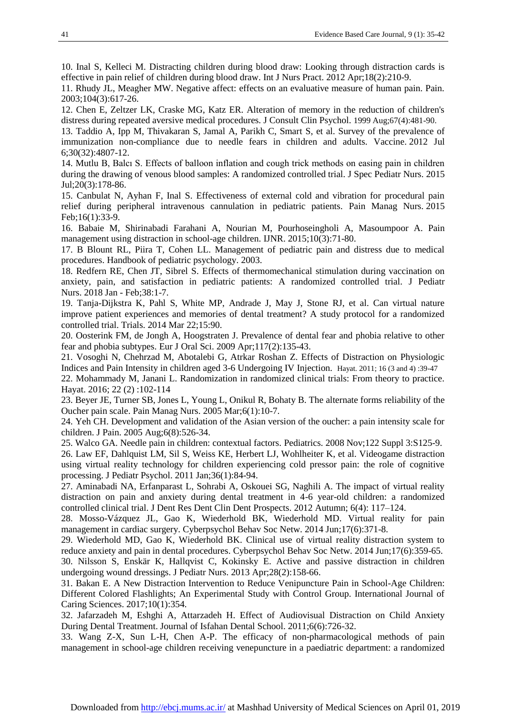<span id="page-7-0"></span>10. Inal S, Kelleci M. Distracting children during blood draw: Looking through distraction cards is effective in pain relief of children during blood draw. [Int J Nurs Pract.](https://www.ncbi.nlm.nih.gov/pubmed/22435986) 2012 Apr;18(2):210-9.

<span id="page-7-1"></span>11. Rhudy JL, Meagher MW. Negative affect: effects on an evaluative measure of human pain. Pain. 2003;104(3):617-26.

<span id="page-7-2"></span>12. Chen E, Zeltzer LK, Craske MG, Katz ER. Alteration of memory in the reduction of children's distress during repeated aversive medical procedures. [J Consult Clin Psychol.](https://www.ncbi.nlm.nih.gov/pubmed/10450618) 1999 Aug;67(4):481-90.

<span id="page-7-3"></span>13. Taddio A, Ipp M, Thivakaran S, Jamal A, Parikh C, Smart S, et al. Survey of the prevalence of immunization non-compliance due to needle fears in children and adults. [Vaccine.](https://www.ncbi.nlm.nih.gov/pubmed/22617633) 2012 Jul 6;30(32):4807-12.

<span id="page-7-4"></span>14. Mutlu B, Balcı S. Effects of balloon inflation and cough trick methods on easing pain in children during the drawing of venous blood samples: A randomized controlled trial. [J Spec Pediatr Nurs.](https://www.ncbi.nlm.nih.gov/pubmed/25817062) 2015 Jul;20(3):178-86.

<span id="page-7-5"></span>15. Canbulat N, Ayhan F, Inal S. Effectiveness of external cold and vibration for procedural pain relief during peripheral intravenous cannulation in pediatric patients. [Pain Manag Nurs.](https://www.ncbi.nlm.nih.gov/pubmed/24912740) 2015 Feb;16(1):33-9.

<span id="page-7-6"></span>16. Babaie M, Shirinabadi Farahani A, Nourian M, Pourhoseingholi A, Masoumpoor A. Pain management using distraction in school-age children. IJNR. 2015;10(3):71-80.

<span id="page-7-7"></span>17. B Blount RL, Piira T, Cohen LL. Management of pediatric pain and distress due to medical procedures. Handbook of pediatric psychology. 2003.

18. Redfern RE, Chen JT, Sibrel S. Effects of thermomechanical stimulation during vaccination on anxiety, pain, and satisfaction in pediatric patients: A randomized controlled trial. [J Pediatr](https://www.ncbi.nlm.nih.gov/pubmed/29167074)  [Nurs.](https://www.ncbi.nlm.nih.gov/pubmed/29167074) 2018 Jan - Feb;38:1-7.

<span id="page-7-8"></span>19. Tanja-Dijkstra K, Pahl S, White MP, Andrade J, May J, Stone RJ, et al. Can virtual nature improve patient experiences and memories of dental treatment? A study protocol for a randomized controlled trial. [Trials.](https://www.ncbi.nlm.nih.gov/pubmed/24655569) 2014 Mar 22;15:90.

<span id="page-7-9"></span>20. Oosterink FM, de Jongh A, Hoogstraten J. Prevalence of dental fear and phobia relative to other fear and phobia subtypes. [Eur J Oral Sci.](https://www.ncbi.nlm.nih.gov/pubmed/19320722) 2009 Apr;117(2):135-43.

<span id="page-7-10"></span>21. Vosoghi N, Chehrzad M, Abotalebi G, Atrkar Roshan Z. Effects of Distraction on Physiologic Indices and Pain Intensity in children aged 3-6 Undergoing IV Injection. Hayat. 2011; 16 (3 and 4) :39-47

<span id="page-7-11"></span>22. Mohammady M, Janani L. Randomization in randomized clinical trials: From theory to practice. Hayat. 2016; 22 (2) :102-114

<span id="page-7-12"></span>23. Beyer JE, Turner SB, Jones L, Young L, Onikul R, Bohaty B. The alternate forms reliability of the Oucher pain scale. [Pain Manag Nurs.](https://www.ncbi.nlm.nih.gov/pubmed/15917740) 2005 Mar;6(1):10-7.

<span id="page-7-13"></span>24. Yeh CH. Development and validation of the Asian version of the oucher: a pain intensity scale for children. [J Pain.](https://www.ncbi.nlm.nih.gov/pubmed/16084467) 2005 Aug;6(8):526-34.

<span id="page-7-14"></span>25. Walco GA. Needle pain in children: contextual factors. [Pediatrics.](https://www.ncbi.nlm.nih.gov/pubmed/18978005) 2008 Nov;122 Suppl 3:S125-9.

<span id="page-7-15"></span>26. Law EF, Dahlquist LM, Sil S, Weiss KE, Herbert LJ, Wohlheiter K, et al. Videogame distraction using virtual reality technology for children experiencing cold pressor pain: the role of cognitive processing. [J Pediatr Psychol.](https://www.ncbi.nlm.nih.gov/pubmed/20656761) 2011 Jan;36(1):84-94.

<span id="page-7-16"></span>27. Aminabadi NA, Erfanparast L, Sohrabi A, Oskouei SG, Naghili A. The impact of virtual reality distraction on pain and anxiety during dental treatment in 4-6 year-old children: a randomized controlled clinical trial[. J Dent Res Dent Clin Dent Prospects.](https://www.ncbi.nlm.nih.gov/pmc/articles/PMC3529924/) 2012 Autumn; 6(4): 117–124.

28. Mosso-Vázquez JL, Gao K, Wiederhold BK, Wiederhold MD. Virtual reality for pain management in cardiac surgery. [Cyberpsychol Behav Soc Netw.](https://www.ncbi.nlm.nih.gov/pubmed/24892200) 2014 Jun;17(6):371-8.

29. Wiederhold MD, Gao K, Wiederhold BK. Clinical use of virtual reality distraction system to reduce anxiety and pain in dental procedures. [Cyberpsychol Behav Soc Netw.](https://www.ncbi.nlm.nih.gov/pubmed/24892198) 2014 Jun;17(6):359-65.

<span id="page-7-17"></span>30. Nilsson S, Enskär K, Hallqvist C, Kokinsky E. Active and passive distraction in children undergoing wound dressings. [J Pediatr Nurs.](https://www.ncbi.nlm.nih.gov/pubmed/22819747) 2013 Apr;28(2):158-66.

<span id="page-7-18"></span>31. Bakan E. A New Distraction Intervention to Reduce Venipuncture Pain in School-Age Children: Different Colored Flashlights; An Experimental Study with Control Group. International Journal of Caring Sciences. 2017;10(1):354.

<span id="page-7-19"></span>32. Jafarzadeh M, Eshghi A, Attarzadeh H. Effect of Audiovisual Distraction on Child Anxiety During Dental Treatment. Journal of Isfahan Dental School. 2011;6(6):726-32.

<span id="page-7-20"></span>33. Wang Z-X, Sun L-H, Chen A-P. The efficacy of non-pharmacological methods of pain management in school-age children receiving venepuncture in a paediatric department: a randomized